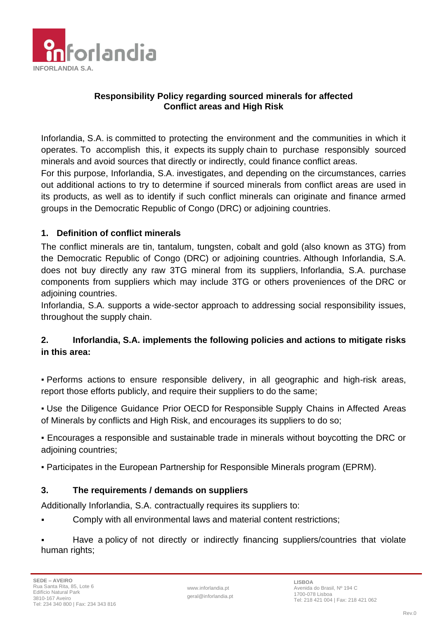

## **Responsibility Policy regarding sourced minerals for affected Conflict areas and High Risk**

Inforlandia, S.A. is committed to protecting the environment and the communities in which it operates. To accomplish this, it expects its supply chain to purchase responsibly sourced minerals and avoid sources that directly or indirectly, could finance conflict areas.

For this purpose, Inforlandia, S.A. investigates, and depending on the circumstances, carries out additional actions to try to determine if sourced minerals from conflict areas are used in its products, as well as to identify if such conflict minerals can originate and finance armed groups in the Democratic Republic of Congo (DRC) or adjoining countries.

## **1. Definition of conflict minerals**

The conflict minerals are tin, tantalum, tungsten, cobalt and gold (also known as 3TG) from the Democratic Republic of Congo (DRC) or adjoining countries. Although Inforlandia, S.A. does not buy directly any raw 3TG mineral from its suppliers, Inforlandia, S.A. purchase components from suppliers which may include 3TG or others proveniences of the DRC or adjoining countries.

Inforlandia, S.A. supports a wide-sector approach to addressing social responsibility issues, throughout the supply chain.

## **2. Inforlandia, S.A. implements the following policies and actions to mitigate risks in this area:**

▪ Performs actions to ensure responsible delivery, in all geographic and high-risk areas, report those efforts publicly, and require their suppliers to do the same;

• Use the Diligence Guidance Prior OECD for Responsible Supply Chains in Affected Areas of Minerals by conflicts and High Risk, and encourages its suppliers to do so;

▪ Encourages a responsible and sustainable trade in minerals without boycotting the DRC or adjoining countries;

▪ Participates in the European Partnership for Responsible Minerals program (EPRM).

## **3. The requirements / demands on suppliers**

Additionally Inforlandia, S.A. contractually requires its suppliers to:

Comply with all environmental laws and material content restrictions;

Have a policy of not directly or indirectly financing suppliers/countries that violate human rights;